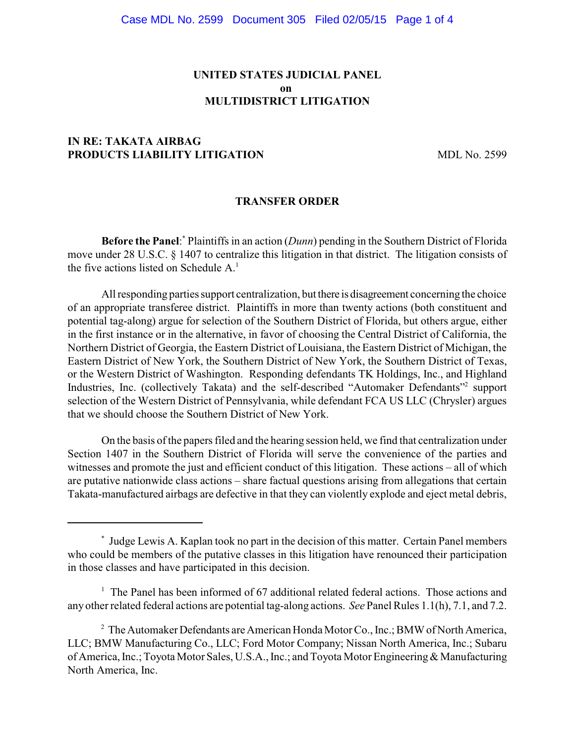## **UNITED STATES JUDICIAL PANEL on MULTIDISTRICT LITIGATION**

# **IN RE: TAKATA AIRBAG PRODUCTS LIABILITY LITIGATION** MDL No. 2599

### **TRANSFER ORDER**

**Before the Panel:** Plaintiffs in an action (*Dunn*) pending in the Southern District of Florida move under 28 U.S.C. § 1407 to centralize this litigation in that district. The litigation consists of the five actions listed on Schedule  $A<sup>1</sup>$ .

All responding parties support centralization, but there is disagreement concerning the choice of an appropriate transferee district. Plaintiffs in more than twenty actions (both constituent and potential tag-along) argue for selection of the Southern District of Florida, but others argue, either in the first instance or in the alternative, in favor of choosing the Central District of California, the Northern District of Georgia, the Eastern District of Louisiana, the Eastern District of Michigan, the Eastern District of New York, the Southern District of New York, the Southern District of Texas, or the Western District of Washington. Responding defendants TK Holdings, Inc., and Highland Industries, Inc. (collectively Takata) and the self-described "Automaker Defendants"<sup>2</sup> support selection of the Western District of Pennsylvania, while defendant FCA US LLC (Chrysler) argues that we should choose the Southern District of New York.

On the basis of the papers filed and the hearing session held, we find that centralization under Section 1407 in the Southern District of Florida will serve the convenience of the parties and witnesses and promote the just and efficient conduct of this litigation. These actions – all of which are putative nationwide class actions – share factual questions arising from allegations that certain Takata-manufactured airbags are defective in that they can violently explode and eject metal debris,

Judge Lewis A. Kaplan took no part in the decision of this matter. Certain Panel members \* who could be members of the putative classes in this litigation have renounced their participation in those classes and have participated in this decision.

 $1$  The Panel has been informed of 67 additional related federal actions. Those actions and any other related federal actions are potential tag-along actions. *See* Panel Rules 1.1(h), 7.1, and 7.2.

<sup>&</sup>lt;sup>2</sup> The Automaker Defendants are American Honda Motor Co., Inc.; BMW of North America, LLC; BMW Manufacturing Co., LLC; Ford Motor Company; Nissan North America, Inc.; Subaru of America, Inc.; Toyota Motor Sales, U.S.A., Inc.; and Toyota Motor Engineering & Manufacturing North America, Inc.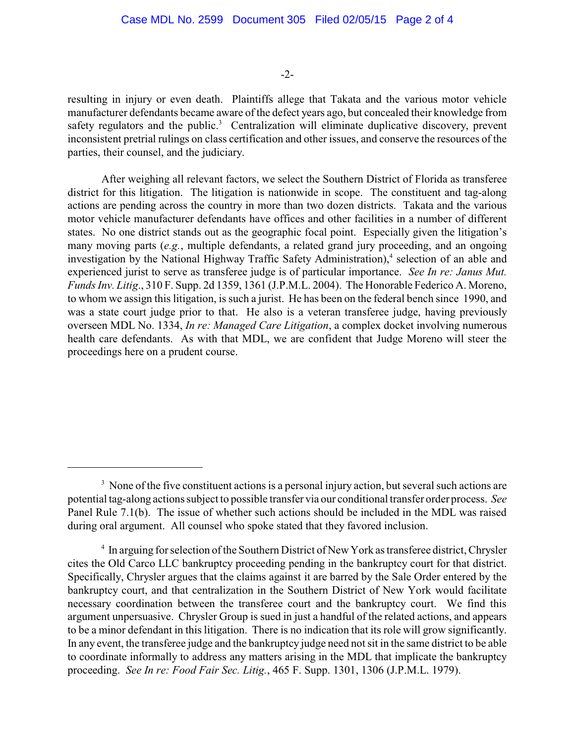#### -2-

resulting in injury or even death. Plaintiffs allege that Takata and the various motor vehicle manufacturer defendants became aware of the defect years ago, but concealed their knowledge from safety regulators and the public.<sup>3</sup> Centralization will eliminate duplicative discovery, prevent inconsistent pretrial rulings on class certification and other issues, and conserve the resources of the parties, their counsel, and the judiciary.

After weighing all relevant factors, we select the Southern District of Florida as transferee district for this litigation. The litigation is nationwide in scope. The constituent and tag-along actions are pending across the country in more than two dozen districts. Takata and the various motor vehicle manufacturer defendants have offices and other facilities in a number of different states. No one district stands out as the geographic focal point. Especially given the litigation's many moving parts (*e.g.*, multiple defendants, a related grand jury proceeding, and an ongoing investigation by the National Highway Traffic Safety Administration), $4$  selection of an able and experienced jurist to serve as transferee judge is of particular importance. *See In re: Janus Mut. Funds Inv. Litig*., 310 F. Supp. 2d 1359, 1361 (J.P.M.L. 2004). The Honorable Federico A. Moreno, to whom we assign this litigation, is such a jurist. He has been on the federal bench since 1990, and was a state court judge prior to that. He also is a veteran transferee judge, having previously overseen MDL No. 1334, *In re: Managed Care Litigation*, a complex docket involving numerous health care defendants. As with that MDL, we are confident that Judge Moreno will steer the proceedings here on a prudent course.

<sup>&</sup>lt;sup>3</sup> None of the five constituent actions is a personal injury action, but several such actions are potential tag-along actions subject to possible transfer via our conditional transfer order process. *See* Panel Rule 7.1(b). The issue of whether such actions should be included in the MDL was raised during oral argument. All counsel who spoke stated that they favored inclusion.

<sup>&</sup>lt;sup>4</sup> In arguing for selection of the Southern District of New York as transferee district, Chrysler cites the Old Carco LLC bankruptcy proceeding pending in the bankruptcy court for that district. Specifically, Chrysler argues that the claims against it are barred by the Sale Order entered by the bankruptcy court, and that centralization in the Southern District of New York would facilitate necessary coordination between the transferee court and the bankruptcy court. We find this argument unpersuasive. Chrysler Group is sued in just a handful of the related actions, and appears to be a minor defendant in this litigation. There is no indication that its role will grow significantly. In any event, the transferee judge and the bankruptcy judge need not sit in the same district to be able to coordinate informally to address any matters arising in the MDL that implicate the bankruptcy proceeding. *See In re: Food Fair Sec. Litig.*, 465 F. Supp. 1301, 1306 (J.P.M.L. 1979).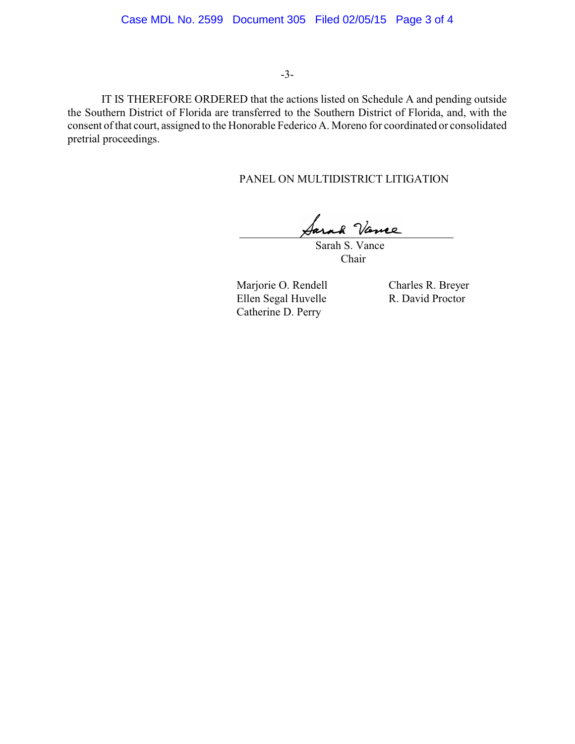### -3-

IT IS THEREFORE ORDERED that the actions listed on Schedule A and pending outside the Southern District of Florida are transferred to the Southern District of Florida, and, with the consent of that court, assigned to the Honorable Federico A. Moreno for coordinated or consolidated pretrial proceedings.

PANEL ON MULTIDISTRICT LITIGATION

Sarah S. Vance

Chair

Marjorie O. Rendell Charles R. Breyer<br>Ellen Segal Huvelle R. David Proctor Ellen Segal Huvelle Catherine D. Perry